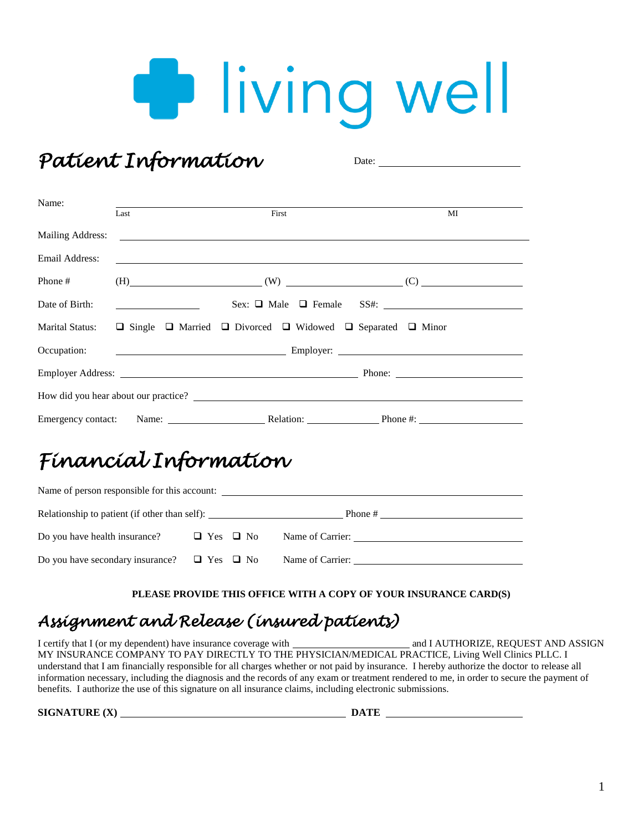# **D** living well

*Patient Information*  Date: Name: Last **Example 3** First **MI** Mailing Address: Email Address: <u> 1999 - Johann Stoff, amerikansk politiker (d. 1989)</u> Phone #  $(H)$  (H)  $(W)$  (W)  $(C)$  (C) Date of Birth: Sex: ❑ Male ❑ Female SS#: Marital Status: ❑ Single ❑ Married ❑ Divorced ❑ Widowed ❑ Separated ❑ Minor Occupation: Employer: Employer Address: Phone: Phone: Phone: Phone: Phone: Phone: Phone: Phone: Phone: Phone: Phone: Phone: Phone: Phone: Phone: Phone: Phone: Phone: Phone: Phone: Phone: Phone: Phone: Phone: Phone: Phone: Phone: Phone: Phone: P How did you hear about our practice? Emergency contact: Name: Relation: Phone #:

## *Financial Information*

| Name of person responsible for this account:          |                      |                  |  |  |  |
|-------------------------------------------------------|----------------------|------------------|--|--|--|
| Relationship to patient (if other than self):         |                      |                  |  |  |  |
| Do you have health insurance?                         | $\Box$ Yes $\Box$ No | Name of Carrier: |  |  |  |
| Do you have secondary insurance? $\Box$ Yes $\Box$ No |                      | Name of Carrier: |  |  |  |

#### **PLEASE PROVIDE THIS OFFICE WITH A COPY OF YOUR INSURANCE CARD(S)**

### *Assignment and Release (insured patients)*

I certify that I (or my dependent) have insurance coverage with and I AUTHORIZE, REQUEST AND ASSIGN MY INSURANCE COMPANY TO PAY DIRECTLY TO THE PHYSICIAN/MEDICAL PRACTICE, Living Well Clinics PLLC. I understand that I am financially responsible for all charges whether or not paid by insurance. I hereby authorize the doctor to release all information necessary, including the diagnosis and the records of any exam or treatment rendered to me, in order to secure the payment of benefits. I authorize the use of this signature on all insurance claims, including electronic submissions.

**SIGNATURE (X) DATE DATE DATE DATE DATE DATE DATE DATE DATE DATE D**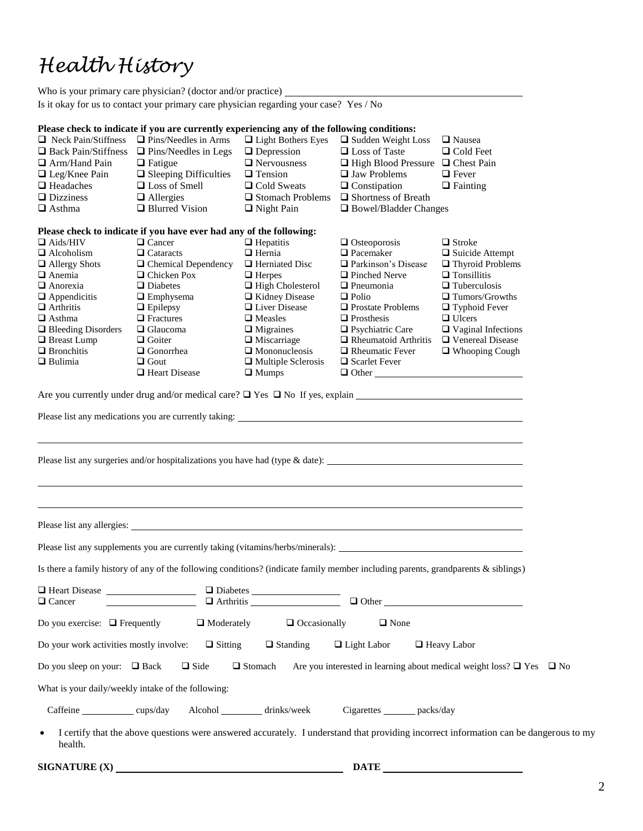## *Health History*

|                                                                                                                                                               | Who is your primary care physician? (doctor and/or practice)                                                                                          |                                         |                                                   |                              |  |  |
|---------------------------------------------------------------------------------------------------------------------------------------------------------------|-------------------------------------------------------------------------------------------------------------------------------------------------------|-----------------------------------------|---------------------------------------------------|------------------------------|--|--|
| Is it okay for us to contact your primary care physician regarding your case? Yes / No                                                                        |                                                                                                                                                       |                                         |                                                   |                              |  |  |
|                                                                                                                                                               |                                                                                                                                                       |                                         |                                                   |                              |  |  |
|                                                                                                                                                               | Please check to indicate if you are currently experiencing any of the following conditions:<br>$\Box$ Neck Pain/Stiffness $\Box$ Pins/Needles in Arms |                                         |                                                   |                              |  |  |
|                                                                                                                                                               |                                                                                                                                                       | □ Light Bothers Eyes                    | $\Box$ Sudden Weight Loss<br>$\Box$ Loss of Taste | □ Nausea<br>$\Box$ Cold Feet |  |  |
| $\Box$ Arm/Hand Pain                                                                                                                                          | $\Box$ Back Pain/Stiffness $\Box$ Pins/Needles in Legs                                                                                                | $\Box$ Depression<br>$\Box$ Nervousness |                                                   |                              |  |  |
|                                                                                                                                                               | $\Box$ Fatigue                                                                                                                                        |                                         | $\Box$ High Blood Pressure $\Box$ Chest Pain      |                              |  |  |
| $\Box$ Leg/Knee Pain                                                                                                                                          | $\hfill\Box$<br>Sleeping Difficulties                                                                                                                 | $\Box$ Tension                          | $\Box$ Jaw Problems                               | $\Box$ Fever                 |  |  |
| $\Box$ Headaches                                                                                                                                              | $\Box$ Loss of Smell                                                                                                                                  | $\Box$ Cold Sweats                      | $\Box$ Constipation                               | $\Box$ Fainting              |  |  |
| $\Box$ Dizziness                                                                                                                                              | $\Box$ Allergies                                                                                                                                      | $\Box$ Stomach Problems                 | □ Shortness of Breath                             |                              |  |  |
| $\Box$ Asthma                                                                                                                                                 | $\Box$ Blurred Vision                                                                                                                                 | $\Box$ Night Pain                       | $\Box$ Bowel/Bladder Changes                      |                              |  |  |
|                                                                                                                                                               | Please check to indicate if you have ever had any of the following:                                                                                   |                                         |                                                   |                              |  |  |
| $\Box$ Aids/HIV                                                                                                                                               | □ Cancer                                                                                                                                              | $\Box$ Hepatitis                        | $\Box$ Osteoporosis                               | $\Box$ Stroke                |  |  |
| $\Box$ Alcoholism                                                                                                                                             | $\Box$ Cataracts                                                                                                                                      | $\Box$ Hernia                           | $\hfill\blacksquare$<br>Pacemaker                 | $\Box$ Suicide Attempt       |  |  |
| $\Box$ Allergy Shots                                                                                                                                          | $\Box$ Chemical Dependency                                                                                                                            | $\Box$ Herniated Disc                   | Parkinson's Disease                               | $\Box$ Thyroid Problems      |  |  |
| $\Box$ Anemia                                                                                                                                                 | $\Box$ Chicken Pox                                                                                                                                    | $\Box$ Herpes                           | $\Box$ Pinched Nerve                              | $\Box$ Tonsillitis           |  |  |
| $\Box$ Anorexia                                                                                                                                               | $\Box$ Diabetes                                                                                                                                       | $\Box$ High Cholesterol                 | $\Box$ Pneumonia                                  | $\Box$ Tuberculosis          |  |  |
| $\Box$ Appendicitis                                                                                                                                           | $\Box$ Emphysema                                                                                                                                      | □ Kidney Disease                        | $\Box$ Polio                                      | $\Box$ Tumors/Growths        |  |  |
| $\Box$ Arthritis                                                                                                                                              | $\Box$ Epilepsy                                                                                                                                       | □ Liver Disease                         | $\Box$ Prostate Problems                          | $\Box$ Typhoid Fever         |  |  |
| $\Box$ Asthma                                                                                                                                                 | $\Box$ Fractures                                                                                                                                      | $\Box$ Measles                          | $\Box$ Prosthesis                                 | $\Box$ Ulcers                |  |  |
| $\Box$ Bleeding Disorders                                                                                                                                     | $\Box$ Glaucoma                                                                                                                                       | $\Box$ Migraines                        | $\Box$ Psychiatric Care                           | $\Box$ Vaginal Infections    |  |  |
| □ Breast Lump                                                                                                                                                 | $\Box$ Goiter                                                                                                                                         | $\Box$ Miscarriage                      | $\Box$ Rheumatoid Arthritis                       | □ Venereal Disease           |  |  |
| $\Box$ Bronchitis                                                                                                                                             | $\Box$ Gonorrhea                                                                                                                                      | $\Box$ Mononucleosis                    | $\Box$ Rheumatic Fever                            | $\Box$ Whooping Cough        |  |  |
| $\Box$ Bulimia                                                                                                                                                | $\Box$ Gout                                                                                                                                           | $\Box$ Multiple Sclerosis               | $\Box$ Scarlet Fever                              |                              |  |  |
|                                                                                                                                                               | $\Box$ Heart Disease                                                                                                                                  | $\Box$ Mumps                            |                                                   |                              |  |  |
|                                                                                                                                                               |                                                                                                                                                       |                                         |                                                   |                              |  |  |
|                                                                                                                                                               |                                                                                                                                                       |                                         |                                                   |                              |  |  |
|                                                                                                                                                               |                                                                                                                                                       |                                         |                                                   |                              |  |  |
|                                                                                                                                                               |                                                                                                                                                       |                                         |                                                   |                              |  |  |
|                                                                                                                                                               |                                                                                                                                                       |                                         |                                                   |                              |  |  |
|                                                                                                                                                               |                                                                                                                                                       |                                         |                                                   |                              |  |  |
|                                                                                                                                                               |                                                                                                                                                       |                                         |                                                   |                              |  |  |
|                                                                                                                                                               |                                                                                                                                                       |                                         |                                                   |                              |  |  |
|                                                                                                                                                               |                                                                                                                                                       |                                         |                                                   |                              |  |  |
|                                                                                                                                                               |                                                                                                                                                       |                                         |                                                   |                              |  |  |
|                                                                                                                                                               |                                                                                                                                                       |                                         |                                                   |                              |  |  |
|                                                                                                                                                               |                                                                                                                                                       |                                         |                                                   |                              |  |  |
|                                                                                                                                                               | Please list any supplements you are currently taking (vitamins/herbs/minerals):                                                                       |                                         |                                                   |                              |  |  |
|                                                                                                                                                               | Is there a family history of any of the following conditions? (indicate family member including parents, grandparents & siblings)                     |                                         |                                                   |                              |  |  |
|                                                                                                                                                               |                                                                                                                                                       |                                         |                                                   |                              |  |  |
| Heart Disease                                                                                                                                                 |                                                                                                                                                       | □ Diabetes<br>□ Arthritis               |                                                   |                              |  |  |
| $\Box$ Cancer                                                                                                                                                 |                                                                                                                                                       |                                         | $\Box$ $\Box$                                     |                              |  |  |
| $\Box$ Moderately<br>Do you exercise: $\Box$ Frequently<br>$\Box$ Occasionally<br>$\Box$ None                                                                 |                                                                                                                                                       |                                         |                                                   |                              |  |  |
| Do your work activities mostly involve:<br>$\Box$ Sitting<br>$\Box$ Standing<br>$\Box$ Light Labor<br>□ Heavy Labor                                           |                                                                                                                                                       |                                         |                                                   |                              |  |  |
| $\Box$ Stomach<br>Do you sleep on your: $\Box$ Back<br>$\Box$ Side<br>Are you interested in learning about medical weight loss? $\Box$ Yes $\Box$ No          |                                                                                                                                                       |                                         |                                                   |                              |  |  |
| What is your daily/weekly intake of the following:                                                                                                            |                                                                                                                                                       |                                         |                                                   |                              |  |  |
| Caffeine cups/day                                                                                                                                             |                                                                                                                                                       | Alcohol ________ drinks/week            | Cigarettes _______ packs/day                      |                              |  |  |
| I certify that the above questions were answered accurately. I understand that providing incorrect information can be dangerous to my<br>$\bullet$<br>health. |                                                                                                                                                       |                                         |                                                   |                              |  |  |